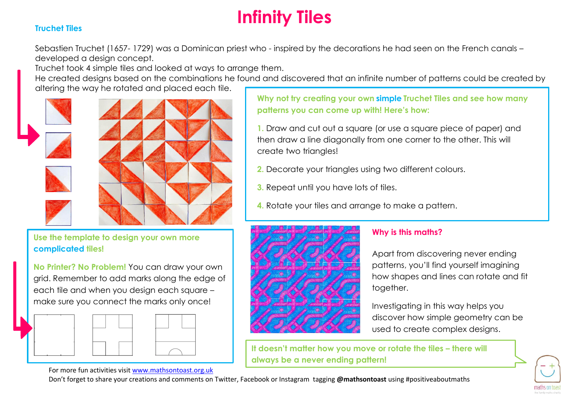# **Infinity Tiles**

#### **Truchet Tiles**

Sebastien Truchet (1657- 1729) was a Dominican priest who - inspired by the decorations he had seen on the French canals – developed a design concept.

Truchet took 4 simple tiles and looked at ways to arrange them.

He created designs based on the combinations he found and discovered that an infinite number of patterns could be created by altering the way he rotated and placed each tile.



**Use the template to design your own more complicated tiles!**

**No Printer? No Problem!** You can draw your own grid. Remember to add marks along the edge of each tile and when you design each square – make sure you connect the marks only once!



For more fun activities visi[t www.mathsontoast.org.uk](http://www.mathsontoast.org.uk/)

**Why not try creating your own simple Truchet Tiles and see how many patterns you can come up with! Here's how:**

**1.** Draw and cut out a square (or use a square piece of paper) and then draw a line diagonally from one corner to the other. This will create two triangles!

- **2.** Decorate your triangles using two different colours.
- **3.** Repeat until you have lots of tiles.
- **4.** Rotate your tiles and arrange to make a pattern.



### **Why is this maths?**

Apart from discovering never ending patterns, you'll find yourself imagining how shapes and lines can rotate and fit together.

Investigating in this way helps you discover how simple geometry can be used to create complex designs.

**It doesn't matter how you move or rotate the tiles – there will always be a never ending pattern!**



Don't forget to share your creations and comments on Twitter, Facebook or Instagram tagging **@mathsontoast** using #positiveaboutmaths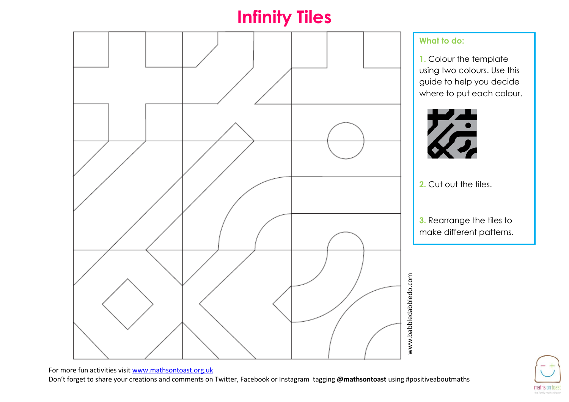# **Infinity Tiles**



#### **What to do:**

**1.** Colour the template using two colours. Use this guide to help you decide where to put each colour.



**2.** Cut out the tiles.

**3.** Rearrange the tiles to make different patterns.

For more fun activities visi[t www.mathsontoast.org.uk](http://www.mathsontoast.org.uk/)

Don't forget to share your creations and comments on Twitter, Facebook or Instagram tagging **@mathsontoast** using #positiveaboutmaths